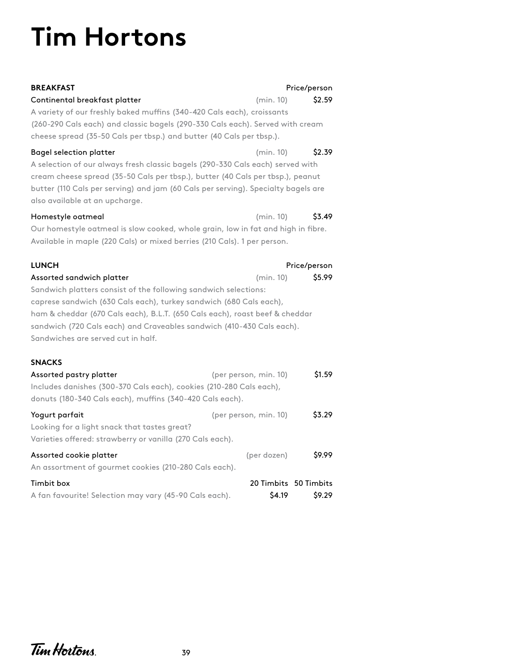## **Tim Hortons**

| <b>BREAKFAST</b><br>Continental breakfast platter<br>A variety of our freshly baked muffins (340-420 Cals each), croissants<br>(260-290 Cals each) and classic bagels (290-330 Cals each). Served with cream<br>cheese spread (35-50 Cals per tbsp.) and butter (40 Cals per tbsp.).                                                                                                                                    | Price/person<br>(min. 10)<br>\$2.59       |  |  |  |
|-------------------------------------------------------------------------------------------------------------------------------------------------------------------------------------------------------------------------------------------------------------------------------------------------------------------------------------------------------------------------------------------------------------------------|-------------------------------------------|--|--|--|
| Bagel selection platter<br>A selection of our always fresh classic bagels (290-330 Cals each) served with<br>cream cheese spread (35-50 Cals per tbsp.), butter (40 Cals per tbsp.), peanut<br>butter (110 Cals per serving) and jam (60 Cals per serving). Specialty bagels are<br>also available at an upcharge.                                                                                                      | \$2.39<br>(min. 10)                       |  |  |  |
| Homestyle oatmeal<br>(min. 10)<br>\$3.49<br>Our homestyle oatmeal is slow cooked, whole grain, low in fat and high in fibre.<br>Available in maple (220 Cals) or mixed berries (210 Cals). 1 per person.                                                                                                                                                                                                                |                                           |  |  |  |
| <b>LUNCH</b><br>Price/person<br>\$5.99<br>Assorted sandwich platter<br>(min. 10)<br>Sandwich platters consist of the following sandwich selections:<br>caprese sandwich (630 Cals each), turkey sandwich (680 Cals each),<br>ham & cheddar (670 Cals each), B.L.T. (650 Cals each), roast beef & cheddar<br>sandwich (720 Cals each) and Craveables sandwich (410-430 Cals each).<br>Sandwiches are served cut in half. |                                           |  |  |  |
| <b>SNACKS</b><br>Assorted pastry platter<br>Includes danishes (300-370 Cals each), cookies (210-280 Cals each),<br>donuts (180-340 Cals each), muffins (340-420 Cals each).                                                                                                                                                                                                                                             | \$1.59<br>(per person, min. 10)           |  |  |  |
| Yogurt parfait<br>Looking for a light snack that tastes great?<br>Varieties offered: strawberry or vanilla (270 Cals each).                                                                                                                                                                                                                                                                                             | \$3.29<br>(per person, min. 10)           |  |  |  |
| Assorted cookie platter<br>An assortment of gourmet cookies (210-280 Cals each).                                                                                                                                                                                                                                                                                                                                        | \$9.99<br>(per dozen)                     |  |  |  |
| Timbit box<br>A fan favourite! Selection may vary (45-90 Cals each).                                                                                                                                                                                                                                                                                                                                                    | 20 Timbits 50 Timbits<br>\$4.19<br>\$9.29 |  |  |  |